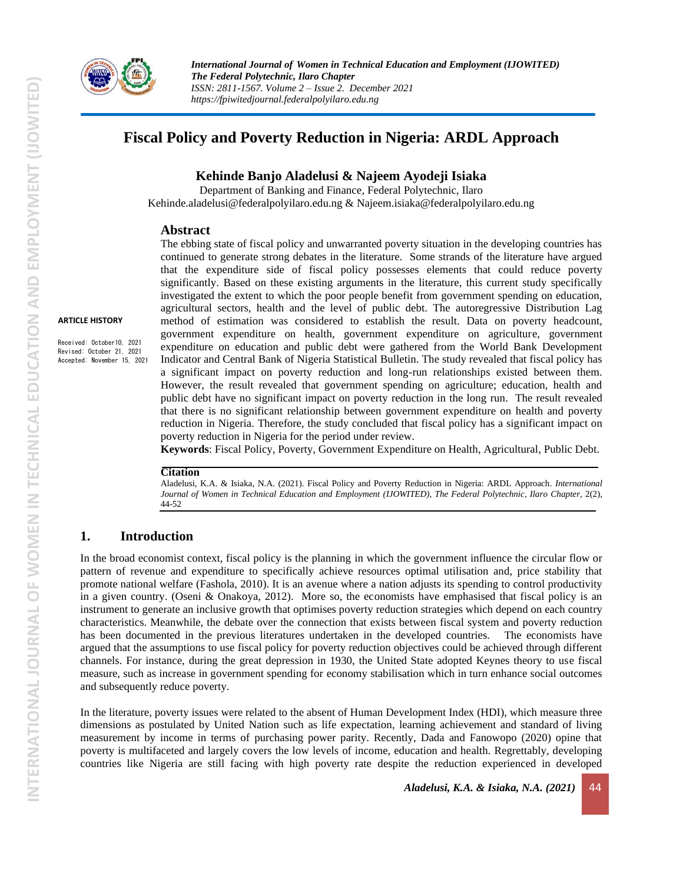

**ARTICLE HISTORY**

Received: October10, 2021 Revised: October 21, 2021 Accepted: November 15, 2021 *International Journal of Women in Technical Education and Employment (IJOWITED) The Federal Polytechnic, Ilaro Chapter ISSN: 2811-1567. Volume 2 – Issue 2. December 2021 https://fpiwitedjournal.federalpolyilaro.edu.ng*

# **Fiscal Policy and Poverty Reduction in Nigeria: ARDL Approach**

### **Kehinde Banjo Aladelusi & Najeem Ayodeji Isiaka**

Department of Banking and Finance, Federal Polytechnic, Ilaro [Kehinde.aladelusi@federalpolyilaro.edu.ng](mailto:Kehinde.aladelusi@federalpolyilaro.edu.ng%20&) & [Najeem.isiaka@federalpolyilaro.edu.ng](mailto:Najeem.isiaka@federalpolyilaro.edu.ng)

#### **Abstract**

The ebbing state of fiscal policy and unwarranted poverty situation in the developing countries has continued to generate strong debates in the literature. Some strands of the literature have argued that the expenditure side of fiscal policy possesses elements that could reduce poverty significantly. Based on these existing arguments in the literature, this current study specifically investigated the extent to which the poor people benefit from government spending on education, agricultural sectors, health and the level of public debt. The autoregressive Distribution Lag method of estimation was considered to establish the result. Data on poverty headcount, government expenditure on health, government expenditure on agriculture, government expenditure on education and public debt were gathered from the World Bank Development Indicator and Central Bank of Nigeria Statistical Bulletin. The study revealed that fiscal policy has a significant impact on poverty reduction and long-run relationships existed between them. However, the result revealed that government spending on agriculture; education, health and public debt have no significant impact on poverty reduction in the long run. The result revealed that there is no significant relationship between government expenditure on health and poverty reduction in Nigeria. Therefore, the study concluded that fiscal policy has a significant impact on poverty reduction in Nigeria for the period under review.

**Keywords**: Fiscal Policy, Poverty, Government Expenditure on Health, Agricultural, Public Debt.

#### **Citation**

Aladelusi, K.A. & Isiaka, N.A. (2021). Fiscal Policy and Poverty Reduction in Nigeria: ARDL Approach. *International* Journal of Women in Technical Education and Employment (IJOWITED), The Federal Polytechnic, Ilaro Chapter, 2(2), 44-52

### **1. Introduction**

In the broad economist context, fiscal policy is the planning in which the government influence the circular flow or pattern of revenue and expenditure to specifically achieve resources optimal utilisation and, price stability that promote national welfare (Fashola, 2010). It is an avenue where a nation adjusts its spending to control productivity in a given country. (Oseni & Onakoya, 2012). More so, the economists have emphasised that fiscal policy is an instrument to generate an inclusive growth that optimises poverty reduction strategies which depend on each country characteristics. Meanwhile, the debate over the connection that exists between fiscal system and poverty reduction has been documented in the previous literatures undertaken in the developed countries. The economists have argued that the assumptions to use fiscal policy for poverty reduction objectives could be achieved through different channels. For instance, during the great depression in 1930, the United State adopted Keynes theory to use fiscal measure, such as increase in government spending for economy stabilisation which in turn enhance social outcomes and subsequently reduce poverty.

In the literature, poverty issues were related to the absent of Human Development Index (HDI), which measure three dimensions as postulated by United Nation such as life expectation, learning achievement and standard of living measurement by income in terms of purchasing power parity. Recently, Dada and Fanowopo (2020) opine that poverty is multifaceted and largely covers the low levels of income, education and health. Regrettably, developing countries like Nigeria are still facing with high poverty rate despite the reduction experienced in developed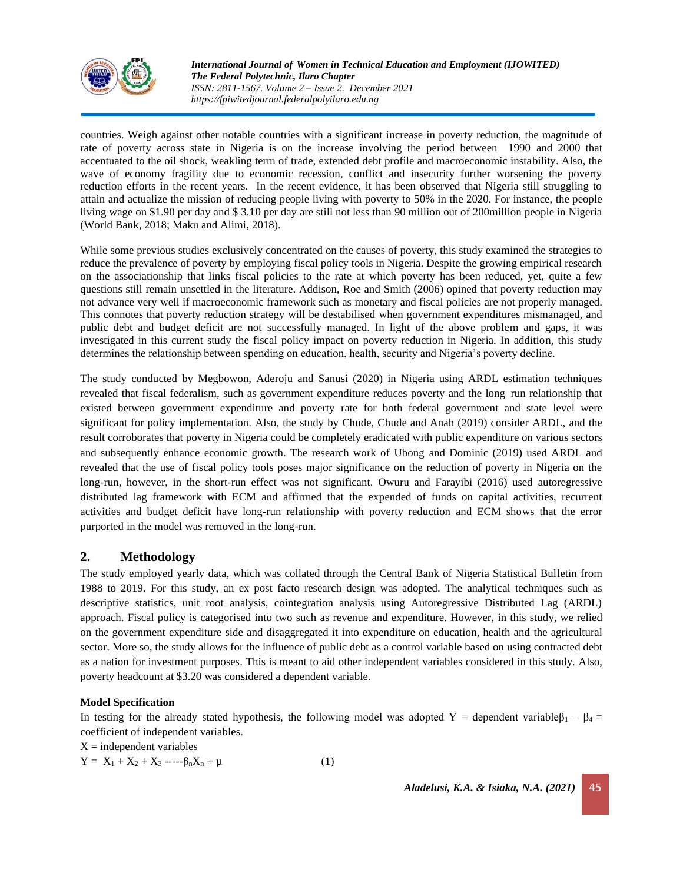

*International Journal of Women in Technical Education and Employment (IJOWITED) The Federal Polytechnic, Ilaro Chapter ISSN: 2811-1567. Volume 2 – Issue 2. December 2021 https://fpiwitedjournal.federalpolyilaro.edu.ng*

countries. Weigh against other notable countries with a significant increase in poverty reduction, the magnitude of rate of poverty across state in Nigeria is on the increase involving the period between 1990 and 2000 that accentuated to the oil shock, weakling term of trade, extended debt profile and macroeconomic instability. Also, the wave of economy fragility due to economic recession, conflict and insecurity further worsening the poverty reduction efforts in the recent years. In the recent evidence, it has been observed that Nigeria still struggling to attain and actualize the mission of reducing people living with poverty to 50% in the 2020. For instance, the people living wage on \$1.90 per day and \$ 3.10 per day are still not less than 90 million out of 200million people in Nigeria (World Bank, 2018; Maku and Alimi, 2018).

While some previous studies exclusively concentrated on the causes of poverty, this study examined the strategies to reduce the prevalence of poverty by employing fiscal policy tools in Nigeria. Despite the growing empirical research on the associationship that links fiscal policies to the rate at which poverty has been reduced, yet, quite a few questions still remain unsettled in the literature. Addison, Roe and Smith (2006) opined that poverty reduction may not advance very well if macroeconomic framework such as monetary and fiscal policies are not properly managed. This connotes that poverty reduction strategy will be destabilised when government expenditures mismanaged, and public debt and budget deficit are not successfully managed. In light of the above problem and gaps, it was investigated in this current study the fiscal policy impact on poverty reduction in Nigeria. In addition, this study determines the relationship between spending on education, health, security and Nigeria's poverty decline.

The study conducted by Megbowon, Aderoju and Sanusi (2020) in Nigeria using ARDL estimation techniques revealed that fiscal federalism, such as government expenditure reduces poverty and the long–run relationship that existed between government expenditure and poverty rate for both federal government and state level were significant for policy implementation. Also, the study by Chude, Chude and Anah (2019) consider ARDL, and the result corroborates that poverty in Nigeria could be completely eradicated with public expenditure on various sectors and subsequently enhance economic growth. The research work of Ubong and Dominic (2019) used ARDL and revealed that the use of fiscal policy tools poses major significance on the reduction of poverty in Nigeria on the long-run, however, in the short-run effect was not significant. Owuru and Farayibi (2016) used autoregressive distributed lag framework with ECM and affirmed that the expended of funds on capital activities, recurrent activities and budget deficit have long-run relationship with poverty reduction and ECM shows that the error purported in the model was removed in the long-run.

# **2. Methodology**

The study employed yearly data, which was collated through the Central Bank of Nigeria Statistical Bulletin from 1988 to 2019. For this study, an ex post facto research design was adopted. The analytical techniques such as descriptive statistics, unit root analysis, cointegration analysis using Autoregressive Distributed Lag (ARDL) approach. Fiscal policy is categorised into two such as revenue and expenditure. However, in this study, we relied on the government expenditure side and disaggregated it into expenditure on education, health and the agricultural sector. More so, the study allows for the influence of public debt as a control variable based on using contracted debt as a nation for investment purposes. This is meant to aid other independent variables considered in this study. Also, poverty headcount at \$3.20 was considered a dependent variable.

#### **Model Specification**

In testing for the already stated hypothesis, the following model was adopted Y = dependent variable $\beta_1 - \beta_4 =$ coefficient of independent variables.

 $X =$  independent variables

$$
Y = X_1 + X_2 + X_3 - \ldots - \beta_n X_n + \mu \tag{1}
$$

*Aladelusi, K.A. & Isiaka, N.A. (2021)* 45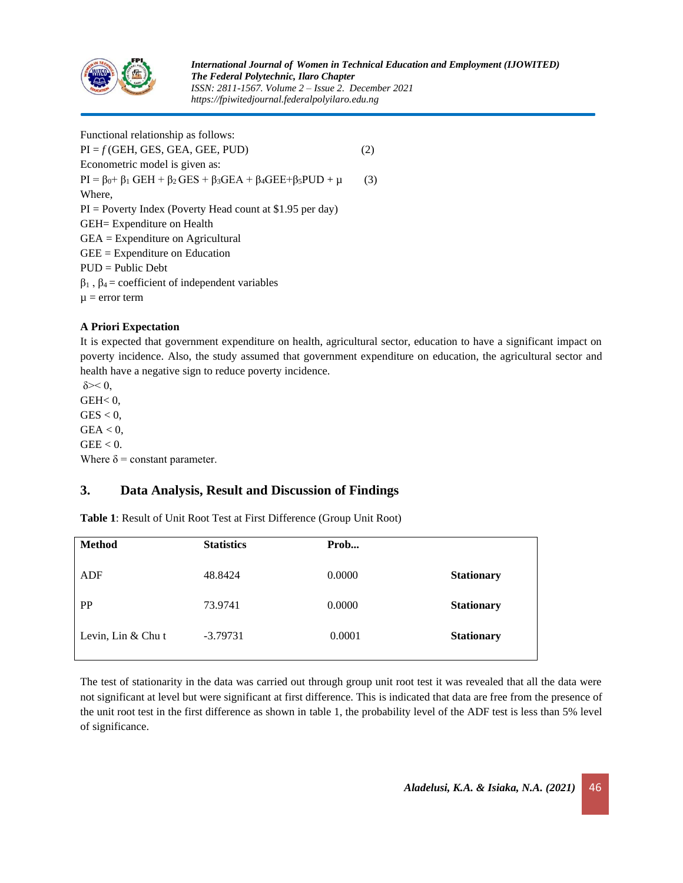

Functional relationship as follows:  $PI = f(GEH, GES, GEA, GEE, PUD)$  (2) Econometric model is given as:  $PI = \beta_0 + \beta_1 \text{ GEH} + \beta_2 \text{ GES} + \beta_3 \text{ GEA} + \beta_4 \text{ GEE} + \beta_5 \text{PUD} + \mu$  (3) Where,  $PI = Powerty Index (Powerty Head count at $1.95 per day)$ GEH= Expenditure on Health GEA = Expenditure on Agricultural GEE = Expenditure on Education PUD = Public Debt  $β<sub>1</sub>$ ,  $β<sub>4</sub> = coefficient of independent variables$  $\mu$  = error term

### **A Priori Expectation**

It is expected that government expenditure on health, agricultural sector, education to have a significant impact on poverty incidence. Also, the study assumed that government expenditure on education, the agricultural sector and health have a negative sign to reduce poverty incidence.

 $δ \geq 0$ ,  $GEH<sub>0</sub>$  $GES < 0$ ,  $GEA < 0$ ,  $GEE < 0.$ Where  $\delta$  = constant parameter.

# **3. Data Analysis, Result and Discussion of Findings**

**Table 1**: Result of Unit Root Test at First Difference (Group Unit Root)

| <b>Method</b>        | <b>Statistics</b> | Prob   |                   |
|----------------------|-------------------|--------|-------------------|
| ADF                  | 48.8424           | 0.0000 | <b>Stationary</b> |
| PP                   | 73.9741           | 0.0000 | <b>Stationary</b> |
| Levin, $Lin & Chu$ t | $-3.79731$        | 0.0001 | <b>Stationary</b> |

The test of stationarity in the data was carried out through group unit root test it was revealed that all the data were not significant at level but were significant at first difference. This is indicated that data are free from the presence of the unit root test in the first difference as shown in table 1, the probability level of the ADF test is less than 5% level of significance.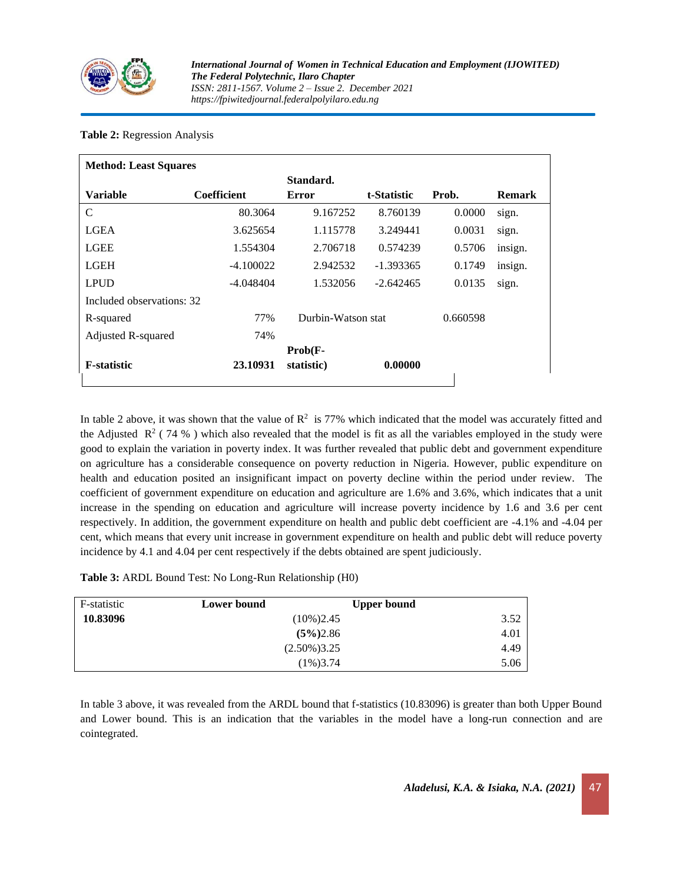

### **Table 2:** Regression Analysis

| <b>Method: Least Squares</b> |                    |                    |             |          |               |  |
|------------------------------|--------------------|--------------------|-------------|----------|---------------|--|
|                              |                    | Standard.          |             |          |               |  |
| <b>Variable</b>              | <b>Coefficient</b> | <b>Error</b>       | t-Statistic | Prob.    | <b>Remark</b> |  |
| C                            | 80.3064            | 9.167252           | 8.760139    | 0.0000   | sign.         |  |
| LGEA                         | 3.625654           | 1.115778           | 3.249441    | 0.0031   | sign.         |  |
| <b>LGEE</b>                  | 1.554304           | 2.706718           | 0.574239    | 0.5706   | insign.       |  |
| <b>LGEH</b>                  | $-4.100022$        | 2.942532           | $-1.393365$ | 0.1749   | insign.       |  |
| <b>LPUD</b>                  | -4.048404          | 1.532056           | $-2.642465$ | 0.0135   | sign.         |  |
| Included observations: 32    |                    |                    |             |          |               |  |
| R-squared                    | 77%                | Durbin-Watson stat |             | 0.660598 |               |  |
| Adjusted R-squared           | 74%                |                    |             |          |               |  |
|                              |                    | $Prob(F -$         |             |          |               |  |
| <b>F-statistic</b>           | 23.10931           | statistic)         | 0.00000     |          |               |  |

In table 2 above, it was shown that the value of  $\mathbb{R}^2$  is 77% which indicated that the model was accurately fitted and the Adjusted  $\mathbb{R}^2$  (74 %) which also revealed that the model is fit as all the variables employed in the study were good to explain the variation in poverty index. It was further revealed that public debt and government expenditure on agriculture has a considerable consequence on poverty reduction in Nigeria. However, public expenditure on health and education posited an insignificant impact on poverty decline within the period under review. The coefficient of government expenditure on education and agriculture are 1.6% and 3.6%, which indicates that a unit increase in the spending on education and agriculture will increase poverty incidence by 1.6 and 3.6 per cent respectively. In addition, the government expenditure on health and public debt coefficient are -4.1% and -4.04 per cent, which means that every unit increase in government expenditure on health and public debt will reduce poverty incidence by 4.1 and 4.04 per cent respectively if the debts obtained are spent judiciously.

**Table 3:** ARDL Bound Test: No Long-Run Relationship (H0)

| F-statistic | Lower bound    | <b>Upper bound</b> |      |
|-------------|----------------|--------------------|------|
| 10.83096    | $(10\%)2.45$   |                    | 3.52 |
|             | $(5\%)2.86$    |                    | 4.01 |
|             | $(2.50\%)3.25$ |                    | 4.49 |
|             | $(1\%)3.74$    |                    | 5.06 |

In table 3 above, it was revealed from the ARDL bound that f-statistics (10.83096) is greater than both Upper Bound and Lower bound. This is an indication that the variables in the model have a long-run connection and are cointegrated.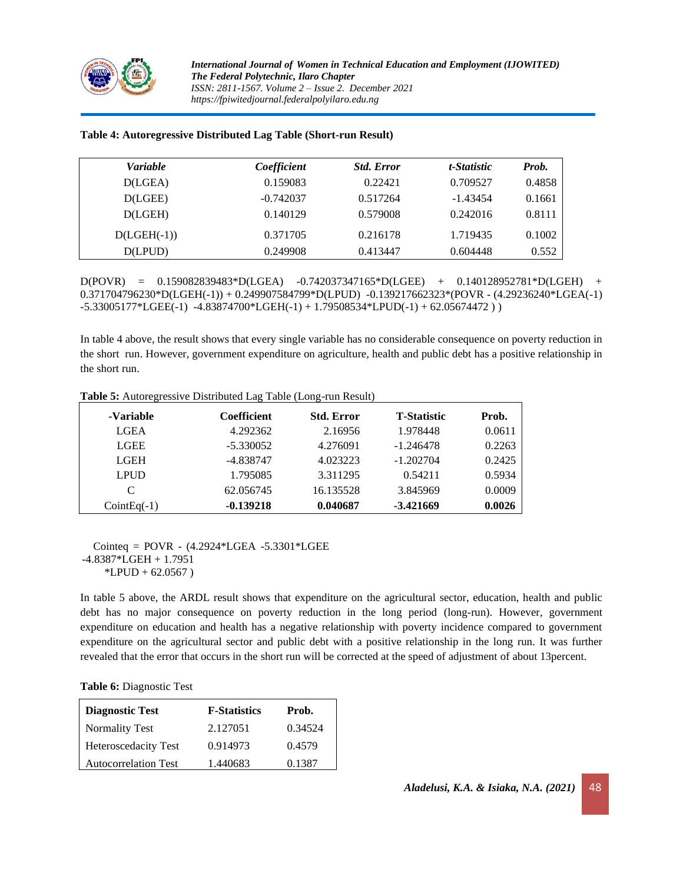

| <b>Variable</b> | Coefficient | <b>Std. Error</b> | t-Statistic | Prob.  |
|-----------------|-------------|-------------------|-------------|--------|
| D(LGEA)         | 0.159083    | 0.22421           | 0.709527    | 0.4858 |
| D(LGEE)         | $-0.742037$ | 0.517264          | $-1.43454$  | 0.1661 |
| D(LGEH)         | 0.140129    | 0.579008          | 0.242016    | 0.8111 |
| $D(LGEH(-1))$   | 0.371705    | 0.216178          | 1.719435    | 0.1002 |
| D(LPUD)         | 0.249908    | 0.413447          | 0.604448    | 0.552  |

#### **Table 4: Autoregressive Distributed Lag Table (Short-run Result)**

D(POVR) = 0.159082839483\*D(LGEA) -0.742037347165\*D(LGEE) + 0.140128952781\*D(LGEH) + 0.371704796230\*D(LGEH(-1)) + 0.249907584799\*D(LPUD) -0.139217662323\*(POVR - (4.29236240\*LGEA(-1) -5.33005177\*LGEE(-1) -4.83874700\*LGEH(-1) + 1.79508534\*LPUD(-1) + 62.05674472 ) )

In table 4 above, the result shows that every single variable has no considerable consequence on poverty reduction in the short run. However, government expenditure on agriculture, health and public debt has a positive relationship in the short run.

| -Variable     | <b>Coefficient</b> | <b>Std. Error</b> | <b>T-Statistic</b> | Prob.  |
|---------------|--------------------|-------------------|--------------------|--------|
| <b>LGEA</b>   | 4.292362           | 2.16956           | 1.978448           | 0.0611 |
| <b>LGEE</b>   | $-5.330052$        | 4.276091          | $-1.246478$        | 0.2263 |
| <b>LGEH</b>   | -4.838747          | 4.023223          | $-1.202704$        | 0.2425 |
| LPUD          | 1.795085           | 3.311295          | 0.54211            | 0.5934 |
| C             | 62.056745          | 16.135528         | 3.845969           | 0.0009 |
| $CointEq(-1)$ | $-0.139218$        | 0.040687          | $-3.421669$        | 0.0026 |

**Table 5:** Autoregressive Distributed Lag Table (Long-run Result)

 Cointeq = POVR - (4.2924\*LGEA -5.3301\*LGEE -4.8387\*LGEH + 1.7951  $*LPUD + 62.0567$ )

In table 5 above, the ARDL result shows that expenditure on the agricultural sector, education, health and public debt has no major consequence on poverty reduction in the long period (long-run). However, government expenditure on education and health has a negative relationship with poverty incidence compared to government expenditure on the agricultural sector and public debt with a positive relationship in the long run. It was further revealed that the error that occurs in the short run will be corrected at the speed of adjustment of about 13percent.

#### **Table 6:** Diagnostic Test

| <b>Diagnostic Test</b>      | <b>F-Statistics</b> | Prob.   |
|-----------------------------|---------------------|---------|
| <b>Normality Test</b>       | 2.127051            | 0.34524 |
| <b>Heteroscedacity Test</b> | 0.914973            | 0.4579  |
| <b>Autocorrelation Test</b> | 1.440683            | 0.1387  |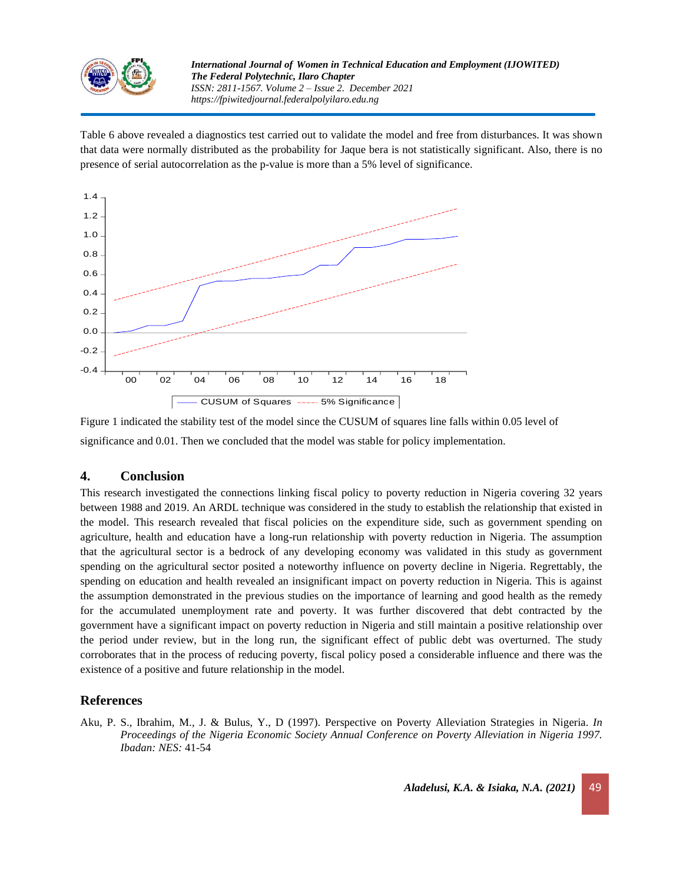

Table 6 above revealed a diagnostics test carried out to validate the model and free from disturbances. It was shown that data were normally distributed as the probability for Jaque bera is not statistically significant. Also, there is no presence of serial autocorrelation as the p-value is more than a 5% level of significance.



Figure 1 indicated the stability test of the model since the CUSUM of squares line falls within 0.05 level of significance and 0.01. Then we concluded that the model was stable for policy implementation.

# **4. Conclusion**

This research investigated the connections linking fiscal policy to poverty reduction in Nigeria covering 32 years between 1988 and 2019. An ARDL technique was considered in the study to establish the relationship that existed in the model. This research revealed that fiscal policies on the expenditure side, such as government spending on agriculture, health and education have a long-run relationship with poverty reduction in Nigeria. The assumption that the agricultural sector is a bedrock of any developing economy was validated in this study as government spending on the agricultural sector posited a noteworthy influence on poverty decline in Nigeria. Regrettably, the spending on education and health revealed an insignificant impact on poverty reduction in Nigeria. This is against the assumption demonstrated in the previous studies on the importance of learning and good health as the remedy for the accumulated unemployment rate and poverty. It was further discovered that debt contracted by the government have a significant impact on poverty reduction in Nigeria and still maintain a positive relationship over the period under review, but in the long run, the significant effect of public debt was overturned. The study corroborates that in the process of reducing poverty, fiscal policy posed a considerable influence and there was the existence of a positive and future relationship in the model.

# **References**

Aku, P. S., Ibrahim, M., J. & Bulus, Y., D (1997). Perspective on Poverty Alleviation Strategies in Nigeria. *In Proceedings of the Nigeria Economic Society Annual Conference on Poverty Alleviation in Nigeria 1997. Ibadan: NES:* 41-54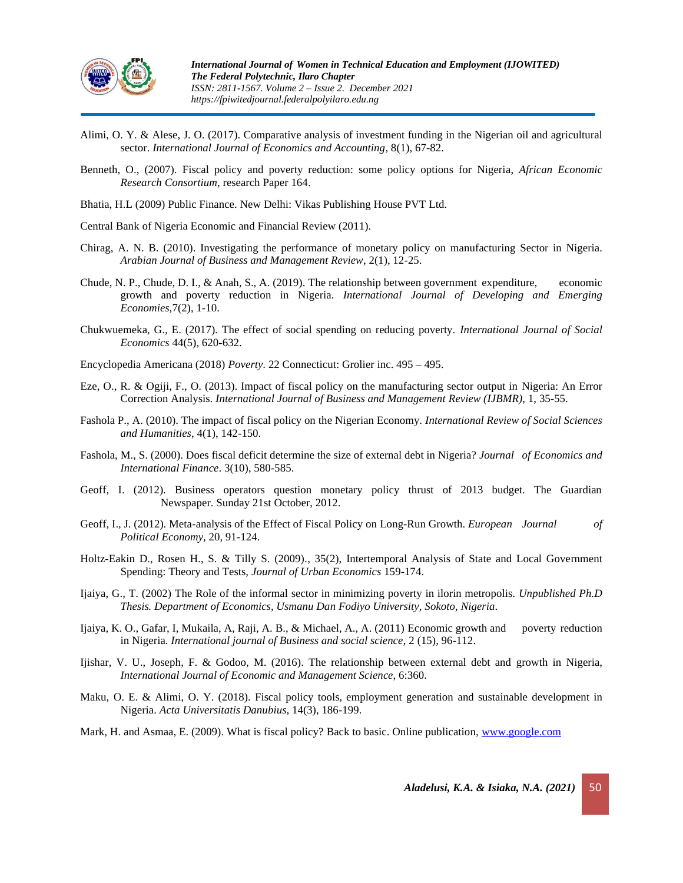

- Alimi, O. Y. & Alese, J. O. (2017). Comparative analysis of investment funding in the Nigerian oil and agricultural sector. *International Journal of Economics and Accounting*, 8(1), 67-82.
- Benneth, O., (2007). Fiscal policy and poverty reduction: some policy options for Nigeria, *African Economic Research Consortium*, research Paper 164.
- Bhatia, H.L (2009) Public Finance. New Delhi: Vikas Publishing House PVT Ltd.
- Central Bank of Nigeria Economic and Financial Review (2011).
- Chirag, A. N. B. (2010). Investigating the performance of monetary policy on manufacturing Sector in Nigeria. *Arabian Journal of Business and Management Review*, 2(1), 12-25.
- Chude, N. P., Chude, D. I., & Anah, S., A. (2019). The relationship between government expenditure, economic growth and poverty reduction in Nigeria. *International Journal of Developing and Emerging Economies,*7(2), 1-10.
- Chukwuemeka, G., E. (2017). The effect of social spending on reducing poverty. *International Journal of Social Economics* 44(5), 620-632.
- Encyclopedia Americana (2018) *Poverty*. 22 Connecticut: Grolier inc. 495 495.
- Eze, O., R. & Ogiji, F., O. (2013). Impact of fiscal policy on the manufacturing sector output in Nigeria: An Error Correction Analysis. *International Journal of Business and Management Review (IJBMR)*, 1, 35-55.
- Fashola P., A. (2010). The impact of fiscal policy on the Nigerian Economy. *International Review of Social Sciences and Humanities*, 4(1), 142-150.
- Fashola, M., S. (2000). Does fiscal deficit determine the size of external debt in Nigeria? *Journal of Economics and International Finance*. 3(10), 580-585.
- Geoff, I. (2012). Business operators question monetary policy thrust of 2013 budget. The Guardian Newspaper. Sunday 21st October, 2012.
- Geoff, I., J. (2012). Meta-analysis of the Effect of Fiscal Policy on Long-Run Growth. *European Journal of Political Economy,* 20, 91-124.
- Holtz-Eakin D., Rosen H., S. & Tilly S. (2009)., 35(2), Intertemporal Analysis of State and Local Government Spending: Theory and Tests, *Journal of Urban Economics* 159-174.
- Ijaiya, G., T. (2002) The Role of the informal sector in minimizing poverty in ilorin metropolis. *Unpublished Ph.D Thesis. Department of Economics, Usmanu Dan Fodiyo University, Sokoto, Nigeria*.
- Ijaiya, K. O., Gafar, I, Mukaila, A, Raji, A. B., & Michael, A., A. (2011) Economic growth and poverty reduction in Nigeria. *International journal of Business and social science*, 2 (15), 96-112.
- Ijishar, V. U., Joseph, F. & Godoo, M. (2016). The relationship between external debt and growth in Nigeria, *International Journal of Economic and Management Science*, 6:360.
- Maku, O. E. & Alimi, O. Y. (2018). Fiscal policy tools, employment generation and sustainable development in Nigeria. *Acta Universitatis Danubius*, 14(3), 186-199.
- Mark, H. and Asmaa, E. (2009). What is fiscal policy? Back to basic. Online publication, [www.google.com](http://www.google.com/)

*Aladelusi, K.A. & Isiaka, N.A.* (2021) 50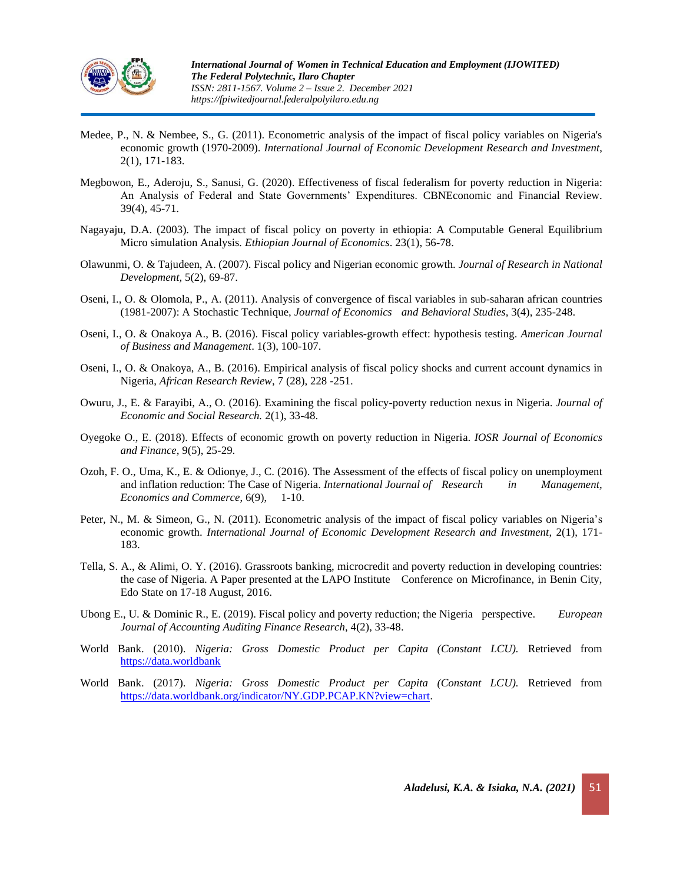

- Medee, P., N. & Nembee, S., G. (2011). Econometric analysis of the impact of fiscal policy variables on Nigeria's economic growth (1970-2009). *International Journal of Economic Development Research and Investment*, 2(1), 171-183.
- Megbowon, E., Aderoju, S., Sanusi, G. (2020). Effectiveness of fiscal federalism for poverty reduction in Nigeria: An Analysis of Federal and State Governments' Expenditures. CBNEconomic and Financial Review. 39(4), 45-71.
- Nagayaju, D.A. (2003). The impact of fiscal policy on poverty in ethiopia: A Computable General Equilibrium Micro simulation Analysis*. Ethiopian Journal of Economics*. 23(1), 56-78.
- Olawunmi, O. & Tajudeen, A. (2007). Fiscal policy and Nigerian economic growth. *Journal of Research in National Development,* 5(2), 69-87.
- Oseni, I., O. & Olomola, P., A. (2011). Analysis of convergence of fiscal variables in sub-saharan african countries (1981-2007): A Stochastic Technique, *Journal of Economics and Behavioral Studies,* 3(4), 235-248.
- Oseni, I., O. & Onakoya A., B. (2016). Fiscal policy variables-growth effect: hypothesis testing. *American Journal of Business and Management*. 1(3), 100-107.
- Oseni, I., O. & Onakoya, A., B. (2016). Empirical analysis of fiscal policy shocks and current account dynamics in Nigeria, *African Research Review*, 7 (28), 228 -251.
- Owuru, J., E. & Farayibi, A., O. (2016). Examining the fiscal policy-poverty reduction nexus in Nigeria. *Journal of Economic and Social Research.* 2(1), 33-48.
- Oyegoke O., E. (2018). Effects of economic growth on poverty reduction in Nigeria. *IOSR Journal of Economics and Finance,* 9(5), 25-29.
- Ozoh, F. O., Uma, K., E. & Odionye, J., C. (2016). The Assessment of the effects of fiscal policy on unemployment and inflation reduction: The Case of Nigeria. *International Journal of Research in Management, Economics and Commerce*, 6(9), 1-10.
- Peter, N., M. & Simeon, G., N. (2011). Econometric analysis of the impact of fiscal policy variables on Nigeria's economic growth. *International Journal of Economic Development Research and Investment*, 2(1), 171-183.
- Tella, S. A., & Alimi, O. Y. (2016). Grassroots banking, microcredit and poverty reduction in developing countries: the case of Nigeria. A Paper presented at the LAPO Institute Conference on Microfinance, in Benin City, Edo State on 17-18 August, 2016.
- Ubong E., U. & Dominic R., E. (2019). Fiscal policy and poverty reduction; the Nigeria perspective. *European Journal of Accounting Auditing Finance Research*, 4(2), 33-48.
- World Bank. (2010). *Nigeria: Gross Domestic Product per Capita (Constant LCU).* Retrieved from [https://data.worldbank](https://data.worldbank/)
- World Bank. (2017). *Nigeria: Gross Domestic Product per Capita (Constant LCU).* Retrieved from [https://data.worldbank.org/indicator/NY.GDP.PCAP.KN?view=chart.](https://data.worldbank.org/indicator/NY.GDP.PCAP.KN?view=chart)